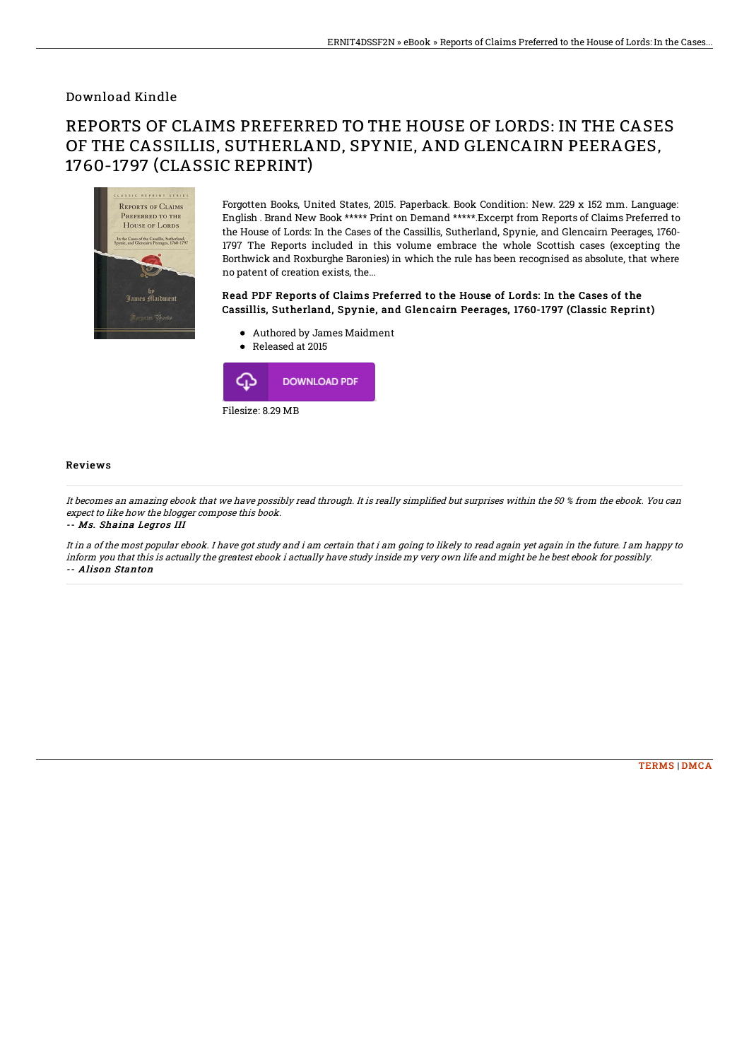### Download Kindle

# REPORTS OF CLAIMS PREFERRED TO THE HOUSE OF LORDS: IN THE CASES OF THE CASSILLIS, SUTHERLAND, SPYNIE, AND GLENCAIRN PEERAGES, 1760-1797 (CLASSIC REPRINT)



Forgotten Books, United States, 2015. Paperback. Book Condition: New. 229 x 152 mm. Language: English . Brand New Book \*\*\*\*\* Print on Demand \*\*\*\*\*.Excerpt from Reports of Claims Preferred to the House of Lords: In the Cases of the Cassillis, Sutherland, Spynie, and Glencairn Peerages, 1760- 1797 The Reports included in this volume embrace the whole Scottish cases (excepting the Borthwick and Roxburghe Baronies) in which the rule has been recognised as absolute, that where no patent of creation exists, the...

#### Read PDF Reports of Claims Preferred to the House of Lords: In the Cases of the Cassillis, Sutherland, Spynie, and Glencairn Peerages, 1760-1797 (Classic Reprint)

- Authored by James Maidment
- Released at 2015



#### Reviews

It becomes an amazing ebook that we have possibly read through. It is really simplified but surprises within the 50 % from the ebook. You can expect to like how the blogger compose this book.

-- Ms. Shaina Legros III

It in <sup>a</sup> of the most popular ebook. I have got study and i am certain that i am going to likely to read again yet again in the future. I am happy to inform you that this is actually the greatest ebook i actually have study inside my very own life and might be he best ebook for possibly. -- Alison Stanton